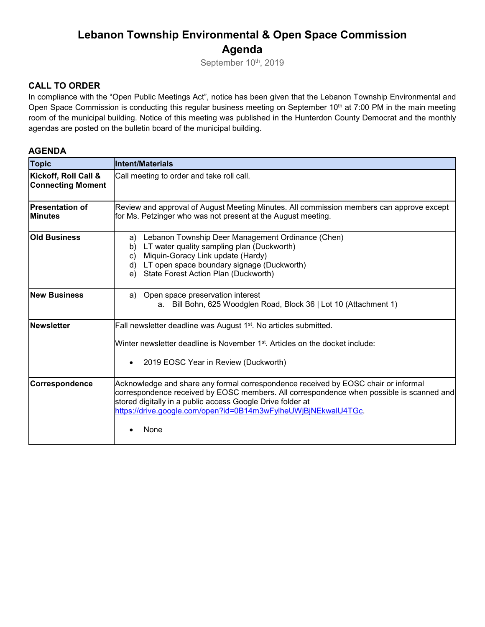## **Lebanon Township Environmental & Open Space Commission Agenda**

September 10th, 2019

#### **CALL TO ORDER**

In compliance with the "Open Public Meetings Act", notice has been given that the Lebanon Township Environmental and Open Space Commission is conducting this regular business meeting on September 10<sup>th</sup> at 7:00 PM in the main meeting room of the municipal building. Notice of this meeting was published in the Hunterdon County Democrat and the monthly agendas are posted on the bulletin board of the municipal building.

#### **AGENDA**

| <b>Topic</b>                                     | <b>Intent/Materials</b>                                                                                                                                                                                                                                                                                                |
|--------------------------------------------------|------------------------------------------------------------------------------------------------------------------------------------------------------------------------------------------------------------------------------------------------------------------------------------------------------------------------|
| Kickoff, Roll Call &<br><b>Connecting Moment</b> | Call meeting to order and take roll call.                                                                                                                                                                                                                                                                              |
| <b>Presentation of</b><br><b>IMinutes</b>        | Review and approval of August Meeting Minutes. All commission members can approve except<br>for Ms. Petzinger who was not present at the August meeting.                                                                                                                                                               |
| <b>Old Business</b>                              | Lebanon Township Deer Management Ordinance (Chen)<br>a)<br>LT water quality sampling plan (Duckworth)<br>b)<br>Miquin-Goracy Link update (Hardy)<br>$\mathbf{C}$<br>LT open space boundary signage (Duckworth)<br>d)<br>State Forest Action Plan (Duckworth)<br>e)                                                     |
| <b>New Business</b>                              | Open space preservation interest<br>a)<br>a. Bill Bohn, 625 Woodglen Road, Block 36   Lot 10 (Attachment 1)                                                                                                                                                                                                            |
| <b>Newsletter</b>                                | Fall newsletter deadline was August 1 <sup>st</sup> . No articles submitted.<br>Winter newsletter deadline is November 1 <sup>st</sup> . Articles on the docket include:<br>2019 EOSC Year in Review (Duckworth)                                                                                                       |
| Correspondence                                   | Acknowledge and share any formal correspondence received by EOSC chair or informal<br>correspondence received by EOSC members. All correspondence when possible is scanned and<br>stored digitally in a public access Google Drive folder at<br>https://drive.google.com/open?id=0B14m3wFylheUWjBjNEkwalU4TGc.<br>None |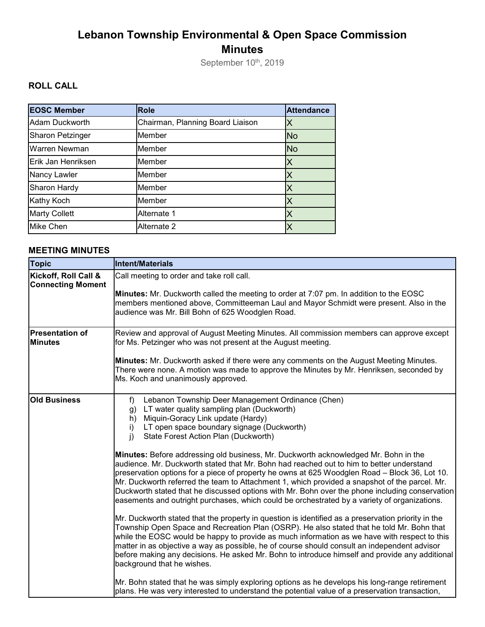# **Lebanon Township Environmental & Open Space Commission Minutes**

September 10<sup>th</sup>, 2019

## **ROLL CALL**

| <b>EOSC Member</b>      | <b>Role</b>                      | <b>Attendance</b> |
|-------------------------|----------------------------------|-------------------|
| <b>Adam Duckworth</b>   | Chairman, Planning Board Liaison |                   |
| <b>Sharon Petzinger</b> | Member                           | <b>No</b>         |
| <b>Warren Newman</b>    | Member                           | <b>No</b>         |
| Erik Jan Henriksen      | Member                           | Χ                 |
| <b>Nancy Lawler</b>     | Member                           | Χ                 |
| Sharon Hardy            | Member                           |                   |
| Kathy Koch              | Member                           |                   |
| <b>Marty Collett</b>    | Alternate 1                      |                   |
| Mike Chen               | Alternate 2                      |                   |

### **MEETING MINUTES**

| <b>Topic</b>                                     | Intent/Materials                                                                                                                                                                                                                                                                                                                                                                                                                                                                                                                                                                                                                                                                                                                                                                                                                                                                                                                                                                                                                                                                                                                                                                                                                                                                                                                                                                                                                                                                                                                                                                         |
|--------------------------------------------------|------------------------------------------------------------------------------------------------------------------------------------------------------------------------------------------------------------------------------------------------------------------------------------------------------------------------------------------------------------------------------------------------------------------------------------------------------------------------------------------------------------------------------------------------------------------------------------------------------------------------------------------------------------------------------------------------------------------------------------------------------------------------------------------------------------------------------------------------------------------------------------------------------------------------------------------------------------------------------------------------------------------------------------------------------------------------------------------------------------------------------------------------------------------------------------------------------------------------------------------------------------------------------------------------------------------------------------------------------------------------------------------------------------------------------------------------------------------------------------------------------------------------------------------------------------------------------------------|
| Kickoff, Roll Call &<br><b>Connecting Moment</b> | Call meeting to order and take roll call.<br><b>Minutes:</b> Mr. Duckworth called the meeting to order at 7:07 pm. In addition to the EOSC<br>members mentioned above, Committeeman Laul and Mayor Schmidt were present. Also in the<br>audience was Mr. Bill Bohn of 625 Woodglen Road.                                                                                                                                                                                                                                                                                                                                                                                                                                                                                                                                                                                                                                                                                                                                                                                                                                                                                                                                                                                                                                                                                                                                                                                                                                                                                                 |
| <b>Presentation of</b><br><b>Minutes</b>         | Review and approval of August Meeting Minutes. All commission members can approve except<br>for Ms. Petzinger who was not present at the August meeting.<br>Minutes: Mr. Duckworth asked if there were any comments on the August Meeting Minutes.<br>There were none. A motion was made to approve the Minutes by Mr. Henriksen, seconded by<br>Ms. Koch and unanimously approved.                                                                                                                                                                                                                                                                                                                                                                                                                                                                                                                                                                                                                                                                                                                                                                                                                                                                                                                                                                                                                                                                                                                                                                                                      |
| <b>Old Business</b>                              | Lebanon Township Deer Management Ordinance (Chen)<br>$f$ )<br>LT water quality sampling plan (Duckworth)<br>g)<br>Miquin-Goracy Link update (Hardy)<br>h)<br>LT open space boundary signage (Duckworth)<br>i)<br>i)<br>State Forest Action Plan (Duckworth)<br>Minutes: Before addressing old business, Mr. Duckworth acknowledged Mr. Bohn in the<br>audience. Mr. Duckworth stated that Mr. Bohn had reached out to him to better understand<br>preservation options for a piece of property he owns at 625 Woodglen Road - Block 36, Lot 10.<br>Mr. Duckworth referred the team to Attachment 1, which provided a snapshot of the parcel. Mr.<br>Duckworth stated that he discussed options with Mr. Bohn over the phone including conservation<br>easements and outright purchases, which could be orchestrated by a variety of organizations.<br>Mr. Duckworth stated that the property in question is identified as a preservation priority in the<br>Township Open Space and Recreation Plan (OSRP). He also stated that he told Mr. Bohn that<br>while the EOSC would be happy to provide as much information as we have with respect to this<br>matter in as objective a way as possible, he of course should consult an independent advisor<br>before making any decisions. He asked Mr. Bohn to introduce himself and provide any additional<br>background that he wishes.<br>Mr. Bohn stated that he was simply exploring options as he develops his long-range retirement<br>plans. He was very interested to understand the potential value of a preservation transaction, |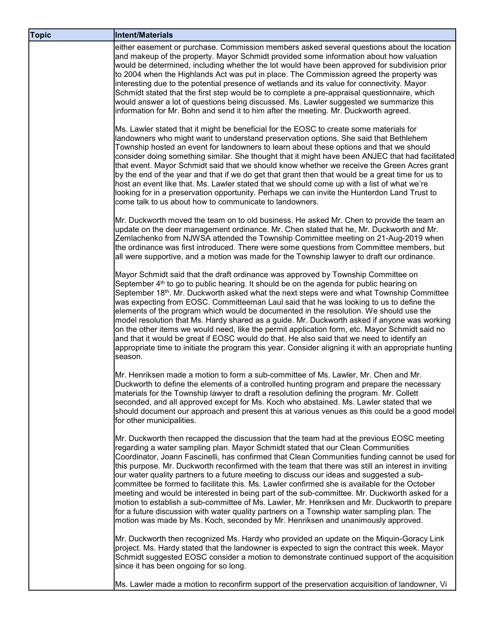| <b>Topic</b> | <b>Intent/Materials</b>                                                                                                                                                                                                                                                                                                                                                                                                                                                                                                                                                                                                                                                                                                                                                                                                                                                                                                                                                |
|--------------|------------------------------------------------------------------------------------------------------------------------------------------------------------------------------------------------------------------------------------------------------------------------------------------------------------------------------------------------------------------------------------------------------------------------------------------------------------------------------------------------------------------------------------------------------------------------------------------------------------------------------------------------------------------------------------------------------------------------------------------------------------------------------------------------------------------------------------------------------------------------------------------------------------------------------------------------------------------------|
|              | either easement or purchase. Commission members asked several questions about the location<br>and makeup of the property. Mayor Schmidt provided some information about how valuation<br>would be determined, including whether the lot would have been approved for subdivision prior<br>to 2004 when the Highlands Act was put in place. The Commission agreed the property was<br>interesting due to the potential presence of wetlands and its value for connectivity. Mayor<br>Schmidt stated that the first step would be to complete a pre-appraisal questionnaire, which<br>would answer a lot of questions being discussed. Ms. Lawler suggested we summarize this<br>information for Mr. Bohn and send it to him after the meeting. Mr. Duckworth agreed.                                                                                                                                                                                                    |
|              | Ms. Lawler stated that it might be beneficial for the EOSC to create some materials for<br>landowners who might want to understand preservation options. She said that Bethlehem<br>Township hosted an event for landowners to learn about these options and that we should<br>consider doing something similar. She thought that it might have been ANJEC that had facilitated<br>that event. Mayor Schmidt said that we should know whether we receive the Green Acres grant<br>by the end of the year and that if we do get that grant then that would be a great time for us to<br>host an event like that. Ms. Lawler stated that we should come up with a list of what we're<br>looking for in a preservation opportunity. Perhaps we can invite the Hunterdon Land Trust to<br>come talk to us about how to communicate to landowners.                                                                                                                          |
|              | Mr. Duckworth moved the team on to old business. He asked Mr. Chen to provide the team an<br>update on the deer management ordinance. Mr. Chen stated that he, Mr. Duckworth and Mr.<br>Zemlachenko from NJWSA attended the Township Committee meeting on 21-Aug-2019 when<br>the ordinance was first introduced. There were some questions from Committee members, but<br>all were supportive, and a motion was made for the Township lawyer to draft our ordinance.                                                                                                                                                                                                                                                                                                                                                                                                                                                                                                  |
|              | Mayor Schmidt said that the draft ordinance was approved by Township Committee on<br>September $4th$ to go to public hearing. It should be on the agenda for public hearing on<br>September 18th. Mr. Duckworth asked what the next steps were and what Township Committee<br>was expecting from EOSC. Committeeman Laul said that he was looking to us to define the<br>elements of the program which would be documented in the resolution. We should use the<br>model resolution that Ms. Hardy shared as a guide. Mr. Duckworth asked if anyone was working<br>on the other items we would need, like the permit application form, etc. Mayor Schmidt said no<br>and that it would be great if EOSC would do that. He also said that we need to identify an<br>appropriate time to initiate the program this year. Consider aligning it with an appropriate hunting<br>season.                                                                                     |
|              | Mr. Henriksen made a motion to form a sub-committee of Ms. Lawler, Mr. Chen and Mr.<br>Duckworth to define the elements of a controlled hunting program and prepare the necessary<br>materials for the Township lawyer to draft a resolution defining the program. Mr. Collett<br>seconded, and all approved except for Ms. Koch who abstained. Ms. Lawler stated that we<br>should document our approach and present this at various venues as this could be a good model<br>for other municipalities.                                                                                                                                                                                                                                                                                                                                                                                                                                                                |
|              | Mr. Duckworth then recapped the discussion that the team had at the previous EOSC meeting<br>regarding a water sampling plan. Mayor Schmidt stated that our Clean Communities<br>Coordinator, Joann Fascinelli, has confirmed that Clean Communities funding cannot be used for<br>this purpose. Mr. Duckworth reconfirmed with the team that there was still an interest in inviting<br>our water quality partners to a future meeting to discuss our ideas and suggested a sub-<br>committee be formed to facilitate this. Ms. Lawler confirmed she is available for the October<br>meeting and would be interested in being part of the sub-committee. Mr. Duckworth asked for a<br>motion to establish a sub-committee of Ms. Lawler, Mr. Henriksen and Mr. Duckworth to prepare<br>for a future discussion with water quality partners on a Township water sampling plan. The<br>motion was made by Ms. Koch, seconded by Mr. Henriksen and unanimously approved. |
|              | Mr. Duckworth then recognized Ms. Hardy who provided an update on the Miquin-Goracy Link<br>project. Ms. Hardy stated that the landowner is expected to sign the contract this week. Mayor<br>Schmidt suggested EOSC consider a motion to demonstrate continued support of the acquisition<br>since it has been ongoing for so long.                                                                                                                                                                                                                                                                                                                                                                                                                                                                                                                                                                                                                                   |
|              | Ms. Lawler made a motion to reconfirm support of the preservation acquisition of landowner, Vi                                                                                                                                                                                                                                                                                                                                                                                                                                                                                                                                                                                                                                                                                                                                                                                                                                                                         |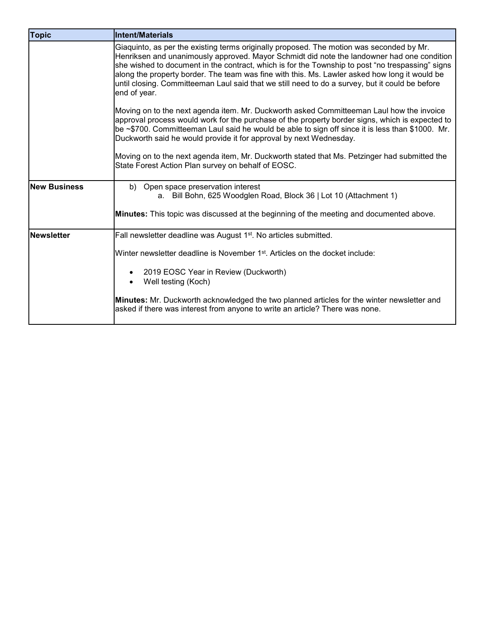| <b>Topic</b>        | <b>Intent/Materials</b>                                                                                                                                                                                                                                                                                                                                                                                                                                                                                        |
|---------------------|----------------------------------------------------------------------------------------------------------------------------------------------------------------------------------------------------------------------------------------------------------------------------------------------------------------------------------------------------------------------------------------------------------------------------------------------------------------------------------------------------------------|
|                     | Giaquinto, as per the existing terms originally proposed. The motion was seconded by Mr.<br>Henriksen and unanimously approved. Mayor Schmidt did note the landowner had one condition<br>she wished to document in the contract, which is for the Township to post "no trespassing" signs<br>along the property border. The team was fine with this. Ms. Lawler asked how long it would be<br>until closing. Committeeman Laul said that we still need to do a survey, but it could be before<br>end of year. |
|                     | Moving on to the next agenda item. Mr. Duckworth asked Committeeman Laul how the invoice<br>approval process would work for the purchase of the property border signs, which is expected to<br>be ~\$700. Committeeman Laul said he would be able to sign off since it is less than \$1000. Mr.<br>Duckworth said he would provide it for approval by next Wednesday.                                                                                                                                          |
|                     | Moving on to the next agenda item, Mr. Duckworth stated that Ms. Petzinger had submitted the<br>State Forest Action Plan survey on behalf of EOSC.                                                                                                                                                                                                                                                                                                                                                             |
| <b>New Business</b> | b) Open space preservation interest<br>a. Bill Bohn, 625 Woodglen Road, Block 36   Lot 10 (Attachment 1)<br><b>Minutes:</b> This topic was discussed at the beginning of the meeting and documented above.                                                                                                                                                                                                                                                                                                     |
| <b>Newsletter</b>   | Fall newsletter deadline was August 1 <sup>st</sup> . No articles submitted.                                                                                                                                                                                                                                                                                                                                                                                                                                   |
|                     | Winter newsletter deadline is November 1 <sup>st</sup> . Articles on the docket include:                                                                                                                                                                                                                                                                                                                                                                                                                       |
|                     | 2019 EOSC Year in Review (Duckworth)<br>Well testing (Koch)                                                                                                                                                                                                                                                                                                                                                                                                                                                    |
|                     | Minutes: Mr. Duckworth acknowledged the two planned articles for the winter newsletter and<br>asked if there was interest from anyone to write an article? There was none.                                                                                                                                                                                                                                                                                                                                     |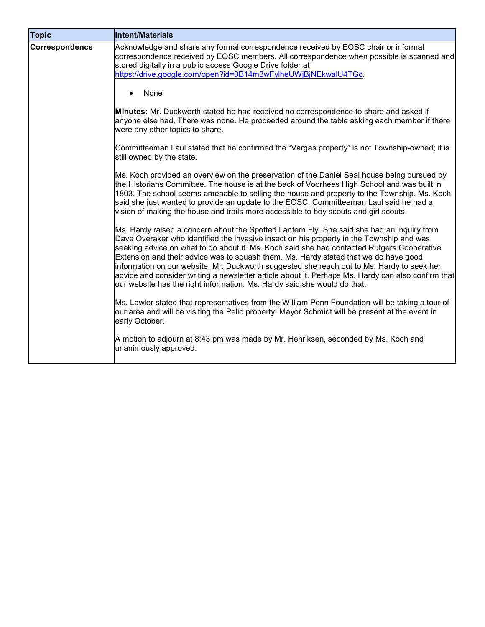| <b>Topic</b>   | <b>Intent/Materials</b>                                                                                                                                                                                                                                                                                                                                                                                                                                                                                                                                                                                                                                      |
|----------------|--------------------------------------------------------------------------------------------------------------------------------------------------------------------------------------------------------------------------------------------------------------------------------------------------------------------------------------------------------------------------------------------------------------------------------------------------------------------------------------------------------------------------------------------------------------------------------------------------------------------------------------------------------------|
| Correspondence | Acknowledge and share any formal correspondence received by EOSC chair or informal<br>correspondence received by EOSC members. All correspondence when possible is scanned and<br>stored digitally in a public access Google Drive folder at<br>https://drive.google.com/open?id=0B14m3wFylheUWjBjNEkwalU4TGc.                                                                                                                                                                                                                                                                                                                                               |
|                | None                                                                                                                                                                                                                                                                                                                                                                                                                                                                                                                                                                                                                                                         |
|                | Minutes: Mr. Duckworth stated he had received no correspondence to share and asked if<br>anyone else had. There was none. He proceeded around the table asking each member if there<br>were any other topics to share.                                                                                                                                                                                                                                                                                                                                                                                                                                       |
|                | Committeeman Laul stated that he confirmed the "Vargas property" is not Township-owned; it is<br>still owned by the state.                                                                                                                                                                                                                                                                                                                                                                                                                                                                                                                                   |
|                | Ms. Koch provided an overview on the preservation of the Daniel Seal house being pursued by<br>the Historians Committee. The house is at the back of Voorhees High School and was built in<br>1803. The school seems amenable to selling the house and property to the Township. Ms. Koch<br>said she just wanted to provide an update to the EOSC. Committeeman Laul said he had a<br>vision of making the house and trails more accessible to boy scouts and girl scouts.                                                                                                                                                                                  |
|                | Ms. Hardy raised a concern about the Spotted Lantern Fly. She said she had an inquiry from<br>Dave Overaker who identified the invasive insect on his property in the Township and was<br>seeking advice on what to do about it. Ms. Koch said she had contacted Rutgers Cooperative<br>Extension and their advice was to squash them. Ms. Hardy stated that we do have good<br>information on our website. Mr. Duckworth suggested she reach out to Ms. Hardy to seek her<br>advice and consider writing a newsletter article about it. Perhaps Ms. Hardy can also confirm that<br>our website has the right information. Ms. Hardy said she would do that. |
|                | Ms. Lawler stated that representatives from the William Penn Foundation will be taking a tour of<br>our area and will be visiting the Pelio property. Mayor Schmidt will be present at the event in<br>early October.                                                                                                                                                                                                                                                                                                                                                                                                                                        |
|                | A motion to adjourn at 8:43 pm was made by Mr. Henriksen, seconded by Ms. Koch and<br>unanimously approved.                                                                                                                                                                                                                                                                                                                                                                                                                                                                                                                                                  |